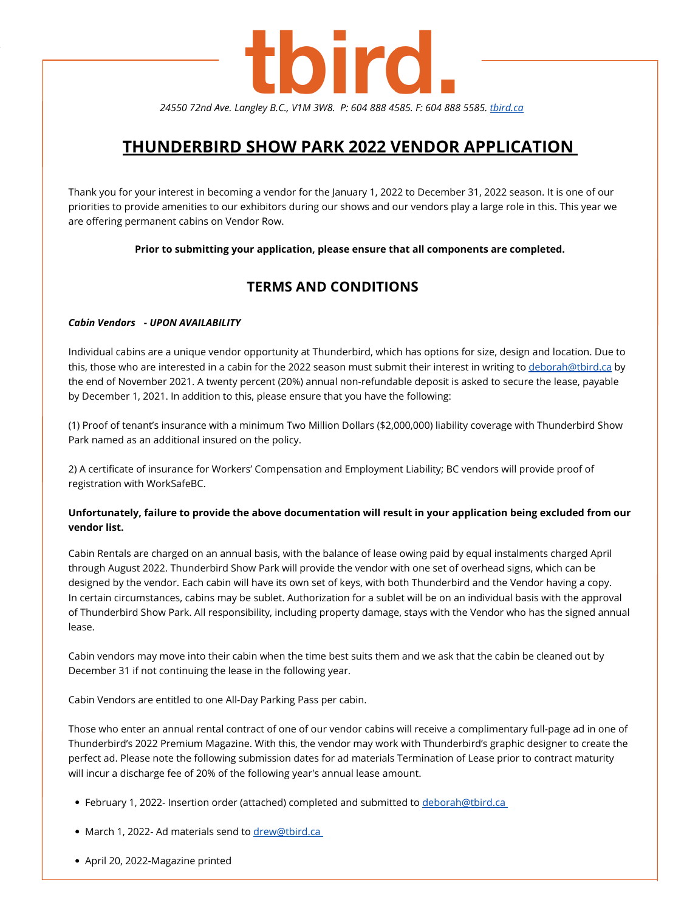Thank you for your interest in becoming a vendor for the January 1, 2022 to December 31, 2022 season. It is one of our priorities to provide amenities to our exhibitors during our shows and our vendors play a large role in this. This year we are offering permanent cabins on Vendor Row.

**Prior to submitting your application, please ensure that all components are completed.**

# **TERMS AND CONDITIONS**

### *Cabin Vendors* **-** *UPON AVAILABILITY*

Individual cabins are a unique vendor opportunity at Thunderbird, which has options for size, design and location. Due to this, those who are interested in a cabin for the 2022 season must submit their interest in writing to [deborah@tbird.ca](mailto:deborah@tbird.ca) by the end of November 2021. A twenty percent (20%) annual non-refundable deposit is asked to secure the lease, payable by December 1, 2021. In addition to this, please ensure that you have the following:

### Unfortunately, failure to provide the above documentation will result in your application being excluded from our **vendor list.**

(1) Proof of tenant's insurance with a minimum Two Million Dollars (\$2,000,000) liability coverage with Thunderbird Show Park named as an additional insured on the policy.

2) A certificate of insurance for Workers' Compensation and Employment Liability; BC vendors will provide proof of registration with WorkSafeBC.

Cabin Rentals are charged on an annual basis, with the balance of lease owing paid by equal instalments charged April through August 2022. Thunderbird Show Park will provide the vendor with one set of overhead signs, which can be designed by the vendor. Each cabin will have its own set of keys, with both Thunderbird and the Vendor having a copy. In certain circumstances, cabins may be sublet. Authorization for a sublet will be on an individual basis with the approval of Thunderbird Show Park. All responsibility, including property damage, stays with the Vendor who has the signed annual lease.

Cabin vendors may move into their cabin when the time best suits them and we ask that the cabin be cleaned out by December 31 if not continuing the lease in the following year.

Cabin Vendors are entitled to one All-Day Parking Pass per cabin.

Those who enter an annual rental contract of one of our vendor cabins will receive a complimentary full-page ad in one of Thunderbird's 2022 Premium Magazine. With this, the vendor may work with Thunderbird's graphic designer to create the perfect ad. Please note the following submission dates for ad materials Termination of Lease prior to contract maturity will incur a discharge fee of 20% of the following year's annual lease amount.

- February 1, 2022- Insertion order (attached) completed and submitted to [deborah@tbird.ca](mailto:deborah@tbird.ca)
- March 1, 2022- Ad materials send to [drew@tbird.ca](mailto:dre@tbird.ca)
- April 20, 2022-Magazine printed

# tbird.

*24550 72nd Ave. Langley B.C., V1M 3W8. P: 604 888 4585. F: 604 888 5585. [tbird.ca](http://tbird.ca/)*

# **THUNDERBIRD SHOW PARK 2022 VENDOR APPLICATION**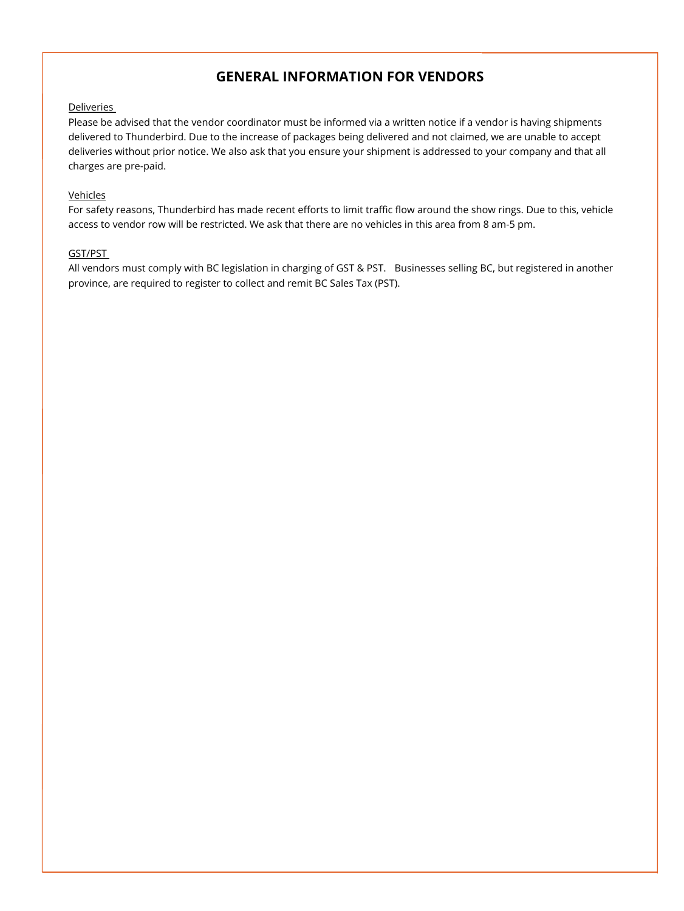Please be advised that the vendor coordinator must be informed via a written notice if a vendor is having shipments delivered to Thunderbird. Due to the increase of packages being delivered and not claimed, we are unable to accept deliveries without prior notice. We also ask that you ensure your shipment is addressed to your company and that all charges are pre-paid.

### Vehicles

For safety reasons, Thunderbird has made recent efforts to limit traffic flow around the show rings. Due to this, vehicle access to vendor row will be restricted. We ask that there are no vehicles in this area from 8 am-5 pm.

### GST/PST

All vendors must comply with BC legislation in charging of GST & PST. Businesses selling BC, but registered in another province, are required to register to collect and remit BC Sales Tax (PST).



# **GENERAL INFORMATION FOR VENDORS**

### **Deliveries**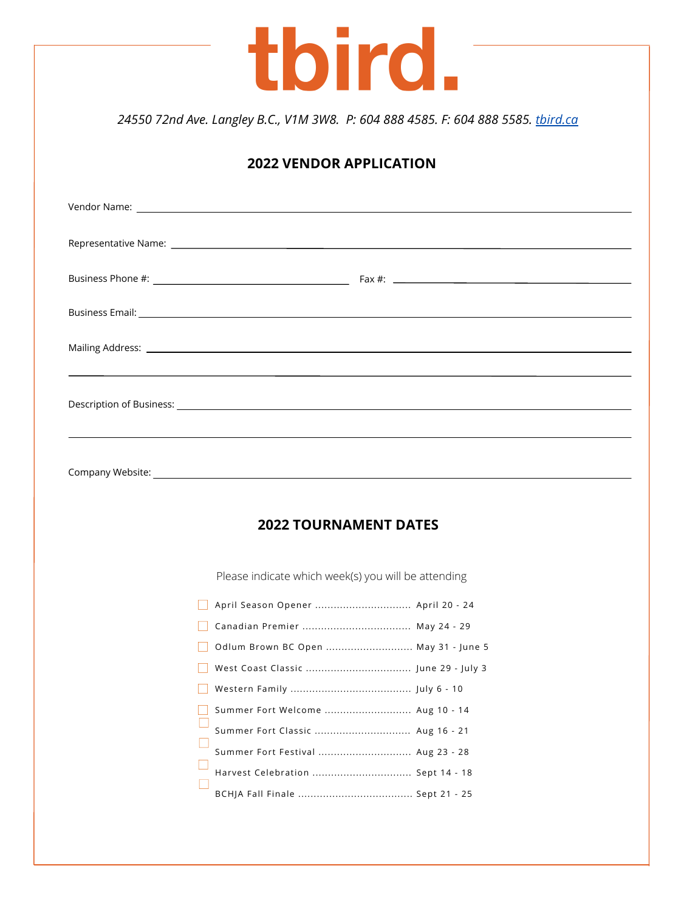|                      | 24550 72nd Ave. Langley B.C., V1M 3W8. P: 604 888 4585. F: 604 888 5585. third.ca                                                                                                                                              |                                |                                                                                                                                                                                                                                                                                                      |  |
|----------------------|--------------------------------------------------------------------------------------------------------------------------------------------------------------------------------------------------------------------------------|--------------------------------|------------------------------------------------------------------------------------------------------------------------------------------------------------------------------------------------------------------------------------------------------------------------------------------------------|--|
|                      |                                                                                                                                                                                                                                |                                |                                                                                                                                                                                                                                                                                                      |  |
|                      |                                                                                                                                                                                                                                | <b>2022 VENDOR APPLICATION</b> |                                                                                                                                                                                                                                                                                                      |  |
|                      | Vendor Name: will be a control of the control of the control of the control of the control of the control of the control of the control of the control of the control of the control of the control of the control of the cont |                                |                                                                                                                                                                                                                                                                                                      |  |
| Representative Name: |                                                                                                                                                                                                                                |                                |                                                                                                                                                                                                                                                                                                      |  |
|                      |                                                                                                                                                                                                                                |                                | Fax #: $\frac{1}{2}$ = $\frac{1}{2}$ = $\frac{1}{2}$ = $\frac{1}{2}$ = $\frac{1}{2}$ = $\frac{1}{2}$ = $\frac{1}{2}$ = $\frac{1}{2}$ = $\frac{1}{2}$ = $\frac{1}{2}$ = $\frac{1}{2}$ = $\frac{1}{2}$ = $\frac{1}{2}$ = $\frac{1}{2}$ = $\frac{1}{2}$ = $\frac{1}{2}$ = $\frac{1}{2}$ = $\frac{1}{2}$ |  |
|                      |                                                                                                                                                                                                                                |                                |                                                                                                                                                                                                                                                                                                      |  |
|                      |                                                                                                                                                                                                                                |                                |                                                                                                                                                                                                                                                                                                      |  |
|                      |                                                                                                                                                                                                                                |                                |                                                                                                                                                                                                                                                                                                      |  |

## **2022 TOURNAMENT DATES**

Please indicate which week(s) you will be attending

| April Season Opener  April 20 - 24   |  |
|--------------------------------------|--|
| Canadian Premier  May 24 - 29        |  |
| Odlum Brown BC Open  May 31 - June 5 |  |
|                                      |  |
|                                      |  |
| Summer Fort Welcome  Aug 10 - 14     |  |
| Summer Fort Classic  Aug 16 - 21     |  |
| Summer Fort Festival  Aug 23 - 28    |  |
| Harvest Celebration  Sept 14 - 18    |  |
|                                      |  |